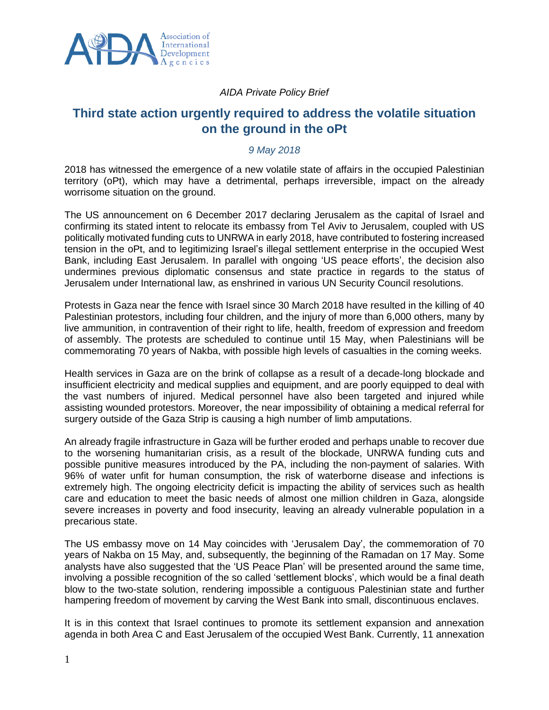

## *AIDA Private Policy Brief*

## **Third state action urgently required to address the volatile situation on the ground in the oPt**

## *9 May 2018*

2018 has witnessed the emergence of a new volatile state of affairs in the occupied Palestinian territory (oPt), which may have a detrimental, perhaps irreversible, impact on the already worrisome situation on the ground.

The US announcement on 6 December 2017 declaring Jerusalem as the capital of Israel and confirming its stated intent to relocate its embassy from Tel Aviv to Jerusalem, coupled with US politically motivated funding cuts to UNRWA in early 2018, have contributed to fostering increased tension in the oPt, and to legitimizing Israel's illegal settlement enterprise in the occupied West Bank, including East Jerusalem. In parallel with ongoing 'US peace efforts', the decision also undermines previous diplomatic consensus and state practice in regards to the status of Jerusalem under International law, as enshrined in various UN Security Council resolutions.

Protests in Gaza near the fence with Israel since 30 March 2018 have resulted in the killing of 40 Palestinian protestors, including four children, and the injury of more than 6,000 others, many by live ammunition, in contravention of their right to life, health, freedom of expression and freedom of assembly. The protests are scheduled to continue until 15 May, when Palestinians will be commemorating 70 years of Nakba, with possible high levels of casualties in the coming weeks.

Health services in Gaza are on the brink of collapse as a result of a decade-long blockade and insufficient electricity and medical supplies and equipment, and are poorly equipped to deal with the vast numbers of injured. Medical personnel have also been targeted and injured while assisting wounded protestors. Moreover, the near impossibility of obtaining a medical referral for surgery outside of the Gaza Strip is causing a high number of limb amputations.

An already fragile infrastructure in Gaza will be further eroded and perhaps unable to recover due to the worsening humanitarian crisis, as a result of the blockade, UNRWA funding cuts and possible punitive measures introduced by the PA, including the non-payment of salaries. With 96% of water unfit for human consumption, the risk of waterborne disease and infections is extremely high. The ongoing electricity deficit is impacting the ability of services such as health care and education to meet the basic needs of almost one million children in Gaza, alongside severe increases in poverty and food insecurity, leaving an already vulnerable population in a precarious state.

The US embassy move on 14 May coincides with 'Jerusalem Day', the commemoration of 70 years of Nakba on 15 May, and, subsequently, the beginning of the Ramadan on 17 May. Some analysts have also suggested that the 'US Peace Plan' will be presented around the same time, involving a possible recognition of the so called 'settlement blocks', which would be a final death blow to the two-state solution, rendering impossible a contiguous Palestinian state and further hampering freedom of movement by carving the West Bank into small, discontinuous enclaves.

It is in this context that Israel continues to promote its settlement expansion and annexation agenda in both Area C and East Jerusalem of the occupied West Bank. Currently, 11 annexation